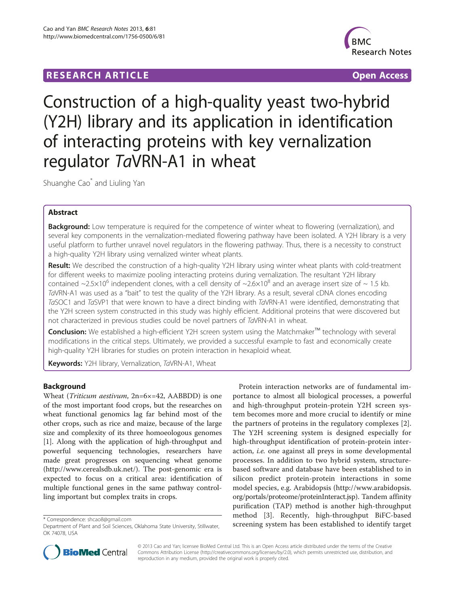# **RESEARCH ARTICLE Example 2018 12:00 Department of the CONNECTION CONNECTION CONNECTION CONNECTION**



# Construction of a high-quality yeast two-hybrid (Y2H) library and its application in identification of interacting proteins with key vernalization regulator TaVRN-A1 in wheat

Shuanghe Cao\* and Liuling Yan

# Abstract

Background: Low temperature is required for the competence of winter wheat to flowering (vernalization), and several key components in the vernalization-mediated flowering pathway have been isolated. A Y2H library is a very useful platform to further unravel novel regulators in the flowering pathway. Thus, there is a necessity to construct a high-quality Y2H library using vernalized winter wheat plants.

Result: We described the construction of a high-quality Y2H library using winter wheat plants with cold-treatment for different weeks to maximize pooling interacting proteins during vernalization. The resultant Y2H library contained ~2.5×10<sup>6</sup> independent clones, with a cell density of ~2.6×10<sup>8</sup> and an average insert size of ~ 1.5 kb. TaVRN-A1 was used as a "bait" to test the quality of the Y2H library. As a result, several cDNA clones encoding TaSOC1 and TaSVP1 that were known to have a direct binding with TaVRN-A1 were identified, demonstrating that the Y2H screen system constructed in this study was highly efficient. Additional proteins that were discovered but not characterized in previous studies could be novel partners of TaVRN-A1 in wheat.

Conclusion: We established a high-efficient Y2H screen system using the Matchmaker™ technology with several modifications in the critical steps. Ultimately, we provided a successful example to fast and economically create high-quality Y2H libraries for studies on protein interaction in hexaploid wheat.

Keywords: Y2H library, Vernalization, TaVRN-A1, Wheat

# Background

Wheat (Triticum aestivum, 2n=6×=42, AABBDD) is one of the most important food crops, but the researches on wheat functional genomics lag far behind most of the other crops, such as rice and maize, because of the large size and complexity of its three homoeologous genomes [[1\]](#page-5-0). Along with the application of high-throughput and powerful sequencing technologies, researchers have made great progresses on sequencing wheat genome ([http://www.cerealsdb.uk.net/\)](http://www.cerealsdb.uk.net/). The post-genomic era is expected to focus on a critical area: identification of multiple functional genes in the same pathway controlling important but complex traits in crops.

Protein interaction networks are of fundamental importance to almost all biological processes, a powerful and high-throughput protein-protein Y2H screen system becomes more and more crucial to identify or mine the partners of proteins in the regulatory complexes [\[2](#page-5-0)]. The Y2H screening system is designed especially for high-throughput identification of protein-protein interaction, i.e. one against all preys in some developmental processes. In addition to two hybrid system, structurebased software and database have been established to in silicon predict protein-protein interactions in some model species, e.g. Arabidopsis ([http://www.arabidopsis.](http://www.arabidopsis.org/portals/proteome/proteinInteract.jsp) [org/portals/proteome/proteinInteract.jsp](http://www.arabidopsis.org/portals/proteome/proteinInteract.jsp)). Tandem affinity purification (TAP) method is another high-throughput method [\[3](#page-5-0)]. Recently, high-throughput BiFC-based screening system has been established to identify target \* Correspondence: [shcao8@gmail.com](mailto:shcao8@gmail.com)



© 2013 Cao and Yan; licensee BioMed Central Ltd. This is an Open Access article distributed under the terms of the Creative Commons Attribution License [\(http://creativecommons.org/licenses/by/2.0\)](http://creativecommons.org/licenses/by/2.0), which permits unrestricted use, distribution, and reproduction in any medium, provided the original work is properly cited.

Department of Plant and Soil Sciences, Oklahoma State University, Stillwater, OK 74078, USA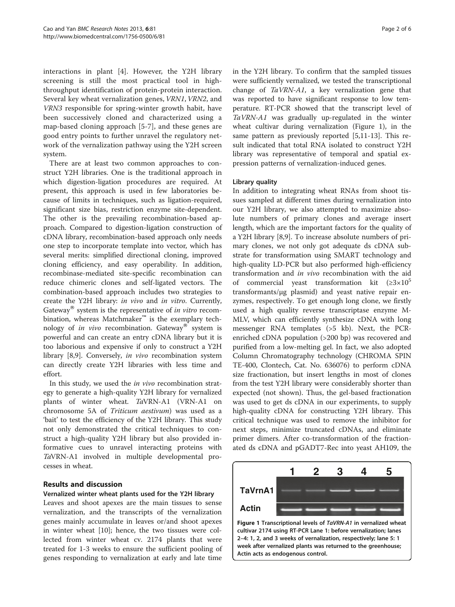interactions in plant [\[4](#page-5-0)]. However, the Y2H library screening is still the most practical tool in highthroughput identification of protein-protein interaction. Several key wheat vernalization genes, VRN1, VRN2, and VRN3 responsible for spring-winter growth habit, have been successively cloned and characterized using a map-based cloning approach [[5-7](#page-5-0)], and these genes are good entry points to further unravel the regulatory network of the vernalization pathway using the Y2H screen system.

There are at least two common approaches to construct Y2H libraries. One is the traditional approach in which digestion-ligation procedures are required. At present, this approach is used in few laboratories because of limits in techniques, such as ligation-required, significant size bias, restriction enzyme site-dependent. The other is the prevailing recombination-based approach. Compared to digestion-ligation construction of cDNA library, recombination-based approach only needs one step to incorporate template into vector, which has several merits: simplified directional cloning, improved cloning efficiency, and easy operability. In addition, recombinase-mediated site-specific recombination can reduce chimeric clones and self-ligated vectors. The combination-based approach includes two strategies to create the Y2H library: in vivo and in vitro. Currently, Gateway $^{\circledR}$  system is the representative of in vitro recombination, whereas Matchmaker™ is the exemplary technology of in vivo recombination. Gateway<sup>®</sup> system is powerful and can create an entry cDNA library but it is too laborious and expensive if only to construct a Y2H library [[8,9\]](#page-5-0). Conversely, in vivo recombination system can directly create Y2H libraries with less time and effort.

In this study, we used the *in vivo* recombination strategy to generate a high-quality Y2H library for vernalized plants of winter wheat. TaVRN-A1 (VRN-A1 on chromosome 5A of Triticum aestivum) was used as a 'bait' to test the efficiency of the Y2H library. This study not only demonstrated the critical techniques to construct a high-quality Y2H library but also provided informative cues to unravel interacting proteins with TaVRN-A1 involved in multiple developmental processes in wheat.

# Results and discussion

# Vernalized winter wheat plants used for the Y2H library

Leaves and shoot apexes are the main tissues to sense vernalization, and the transcripts of the vernalization genes mainly accumulate in leaves or/and shoot apexes in winter wheat [[10\]](#page-5-0); hence, the two tissues were collected from winter wheat cv. 2174 plants that were treated for 1-3 weeks to ensure the sufficient pooling of genes responding to vernalization at early and late time

in the Y2H library. To confirm that the sampled tissues were sufficiently vernalized, we tested the transcriptional change of  $TaVRN-A1$ , a key vernalization gene that was reported to have significant response to low temperature. RT-PCR showed that the transcript level of TaVRN-A1 was gradually up-regulated in the winter wheat cultivar during vernalization (Figure 1), in the same pattern as previously reported [[5](#page-5-0),[11-13\]](#page-5-0). This result indicated that total RNA isolated to construct Y2H library was representative of temporal and spatial expression patterns of vernalization-induced genes.

# Library quality

In addition to integrating wheat RNAs from shoot tissues sampled at different times during vernalization into our Y2H library, we also attempted to maximize absolute numbers of primary clones and average insert length, which are the important factors for the quality of a Y2H library [[8](#page-5-0),[9\]](#page-5-0). To increase absolute numbers of primary clones, we not only got adequate ds cDNA substrate for transformation using SMART technology and high-quality LD-PCR but also performed high-efficiency transformation and in vivo recombination with the aid of commercial yeast transformation kit (≥3×10<sup>5</sup> transformants/μg plasmid) and yeast native repair enzymes, respectively. To get enough long clone, we firstly used a high quality reverse transcriptase enzyme M-MLV, which can efficiently synthesize cDNA with long messenger RNA templates (>5 kb). Next, the PCRenriched cDNA population (>200 bp) was recovered and purified from a low-melting gel. In fact, we also adopted Column Chromatography technology (CHROMA SPIN TE-400, Clontech, Cat. No. 636076) to perform cDNA size fractionation, but insert lengths in most of clones from the test Y2H library were considerably shorter than expected (not shown). Thus, the gel-based fractionation was used to get ds cDNA in our experiments, to supply high-quality cDNA for constructing Y2H library. This critical technique was used to remove the inhibitor for next steps, minimize truncated cDNAs, and eliminate primer dimers. After co-transformation of the fractionated ds cDNA and pGADT7-Rec into yeast AH109, the

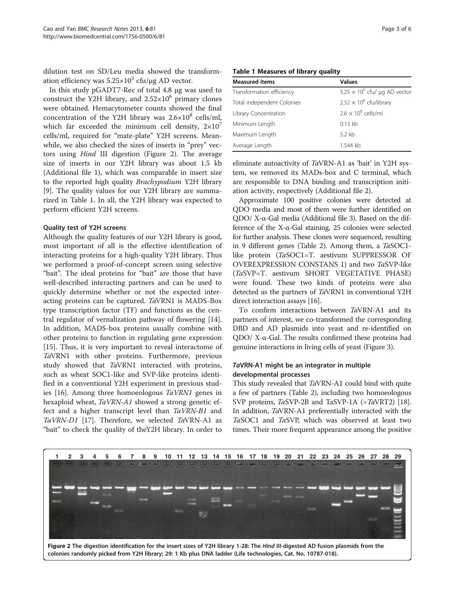dilution test on SD/Leu media showed the transformation efficiency was  $5.25 \times 10^5$  cfu/μg AD vector.

In this study pGADT7-Rec of total 4.8 μg was used to construct the Y2H library, and  $2.52 \times 10^6$  primary clones were obtained. Hemacytometer counts showed the final concentration of the Y2H library was  $2.6\times10^8$  cells/ml, which far exceeded the minimum cell density,  $2\times10^{7}$ cells/ml, required for "mate-plate" Y2H screens. Meanwhile, we also checked the sizes of inserts in "prey" vectors using Hind III digestion (Figure 2). The average size of inserts in our Y2H library was about 1.5 kb (Additional file [1](#page-5-0)), which was comparable in insert size to the reported high quality Brachypodium Y2H library [[9\]](#page-5-0). The quality values for our Y2H library are summarized in Table 1. In all, the Y2H library was expected to perform efficient Y2H screens.

#### Quality test of Y2H screens

Although the quality features of our Y2H library is good, most important of all is the effective identification of interacting proteins for a high-quality Y2H library. Thus we performed a proof-of-concept screen using selective "bait". The ideal proteins for "bait" are those that have well-described interacting partners and can be used to quickly determine whether or not the expected interacting proteins can be captured. TaVRN1 is MADS-Box type transcription factor (TF) and functions as the central regulator of vernalization pathway of flowering [\[14](#page-5-0)]. In addition, MADS-box proteins usually combine with other proteins to function in regulating gene expression [[15\]](#page-5-0). Thus, it is very important to reveal interactome of TaVRN1 with other proteins. Furthermore, previous study showed that TaVRN1 interacted with proteins, such as wheat SOC1-like and SVP-like proteins identified in a conventional Y2H experiment in previous studies [[16](#page-5-0)]. Among three homoeologous TaVRN1 genes in hexaploid wheat, TaVRN-A1 showed a strong genetic effect and a higher transcript level than TaVRN-B1 and TaVRN-D1 [\[17](#page-5-0)]. Therefore, we selected TaVRN-A1 as "bait" to check the quality of theY2H library. In order to

# Table 1 Measures of library quality

| <b>Measured items</b>      | <b>Values</b>                        |  |
|----------------------------|--------------------------------------|--|
| Transformation efficiency  | $5.25 \times 10^5$ cfu/ µg AD vector |  |
| Total independent Colonies | $2.52 \times 10^6$ cfu/library       |  |
| Library Concentration      | $2.6 \times 10^8$ cells/ml           |  |
| Minimum Length             | $0.13$ kb                            |  |
| Maximum Length             | 5.2 kb                               |  |
| Average Length             | 1.544 kb                             |  |

eliminate autoactivity of TaVRN-A1 as 'bait' in Y2H system, we removed its MADs-box and C terminal, which are responsible to DNA binding and transcription initiation activity, respectively (Additional file [2\)](#page-5-0).

Approximate 100 positive colonies were detected at QDO media and most of them were further identified on QDO/ X-α-Gal media (Additional file [3](#page-5-0)). Based on the difference of the X-α-Gal staining, 25 colonies were selected for further analysis. These clones were sequenced, resulting in 9 different genes (Table [2](#page-3-0)). Among them, a TaSOC1 like protein (TaSOC1=T. aestivum SUPPRESSOR OF OVEREXPRESSION CONSTANS 1) and two TaSVP-like (TaSVP=T. aestivum SHORT VEGETATIVE PHASE) were found. These two kinds of proteins were also detected as the partners of TaVRN1 in conventional Y2H direct interaction assays [\[16\]](#page-5-0).

To confirm interactions between TaVRN-A1 and its partners of interest, we co-transformed the corresponding DBD and AD plasmids into yeast and re-identified on QDO/ X-α-Gal. The results confirmed these proteins had genuine interactions in living cells of yeast (Figure [3](#page-3-0)).

# TaVRN-A1 might be an integrator in multiple developmental processes

This study revealed that TaVRN-A1 could bind with quite a few of partners (Table [2\)](#page-3-0), including two homoeologous SVP proteins,  $TaSVP-2B$  and TaSVP-1A (= $TaVRT2$ ) [[18](#page-5-0)]. In addition, TaVRN-A1 preferentially interacted with the TaSOC1 and TaSVP, which was observed at least two times. Their more frequent appearance among the positive

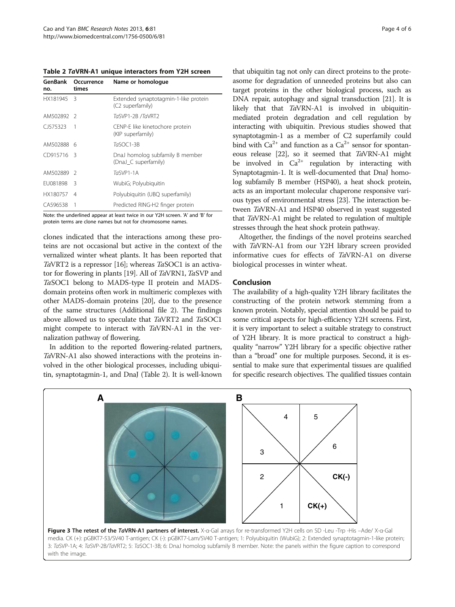<span id="page-3-0"></span>Table 2 TaVRN-A1 unique interactors from Y2H screen

| GenBank<br>no. | Occurrence<br>times | Name or homologue                                         |
|----------------|---------------------|-----------------------------------------------------------|
| HX181945       | 3                   | Extended synaptotagmin-1-like protein<br>(C2 superfamily) |
| AM502892       | $\mathcal{L}$       | TaSVP1-2B /TaVRT2                                         |
| CJ575323       | 1                   | CENP-E like kinetochore protein<br>(KIP superfamily)      |
| AM502888       | 6                   | TaSOC1-3B                                                 |
| CD915716       | 3                   | DnaJ homolog subfamily B member<br>(DnaJ C superfamily)   |
| AM502889       | -2                  | $TaSVP1-1A$                                               |
| FU081898       | Β                   | WubiG; Polyubiquitin                                      |
| HX180757       | 4                   | Polyubiquitin (UBQ superfamily)                           |
| CA596538       |                     | Predicted RING-H2 finger protein                          |

Note: the underlined appear at least twice in our Y2H screen. 'A' and 'B' for protein terms are clone names but not for chromosome names.

clones indicated that the interactions among these proteins are not occasional but active in the context of the vernalized winter wheat plants. It has been reported that TaVRT2 is a repressor [\[16](#page-5-0)]; whereas  $TaSOC1$  is an activator for flowering in plants [\[19\]](#page-5-0). All of TaVRN1, TaSVP and TaSOC1 belong to MADS-type II protein and MADSdomain proteins often work in multimeric complexes with other MADS-domain proteins [\[20](#page-5-0)], due to the presence of the same structures (Additional file [2](#page-5-0)). The findings above allowed us to speculate that TaVRT2 and TaSOC1 might compete to interact with TaVRN-A1 in the vernalization pathway of flowering.

In addition to the reported flowering-related partners, TaVRN-A1 also showed interactions with the proteins involved in the other biological processes, including ubiquitin, synaptotagmin-1, and DnaJ (Table 2). It is well-known

that ubiquitin tag not only can direct proteins to the proteasome for degradation of unneeded proteins but also can target proteins in the other biological process, such as DNA repair, autophagy and signal transduction [\[21](#page-5-0)]. It is likely that that TaVRN-A1 is involved in ubiquitinmediated protein degradation and cell regulation by interacting with ubiquitin. Previous studies showed that synaptotagmin-1 as a member of C2 superfamily could bind with  $Ca^{2+}$  and function as a  $Ca^{2+}$  sensor for spontaneous release [[22](#page-5-0)], so it seemed that TaVRN-A1 might be involved in  $Ca^{2+}$  regulation by interacting with Synaptotagmin-1. It is well-documented that DnaJ homolog subfamily B member (HSP40), a heat shock protein, acts as an important molecular chaperone responsive various types of environmental stress [[23](#page-5-0)]. The interaction between TaVRN-A1 and HSP40 observed in yeast suggested that TaVRN-A1 might be related to regulation of multiple stresses through the heat shock protein pathway.

Altogether, the findings of the novel proteins searched with TaVRN-A1 from our Y2H library screen provided informative cues for effects of TaVRN-A1 on diverse biological processes in winter wheat.

### Conclusion

The availability of a high-quality Y2H library facilitates the constructing of the protein network stemming from a known protein. Notably, special attention should be paid to some critical aspects for high-efficiency Y2H screens. First, it is very important to select a suitable strategy to construct of Y2H library. It is more practical to construct a highquality "narrow" Y2H library for a specific objective rather than a "broad" one for multiple purposes. Second, it is essential to make sure that experimental tissues are qualified for specific research objectives. The qualified tissues contain

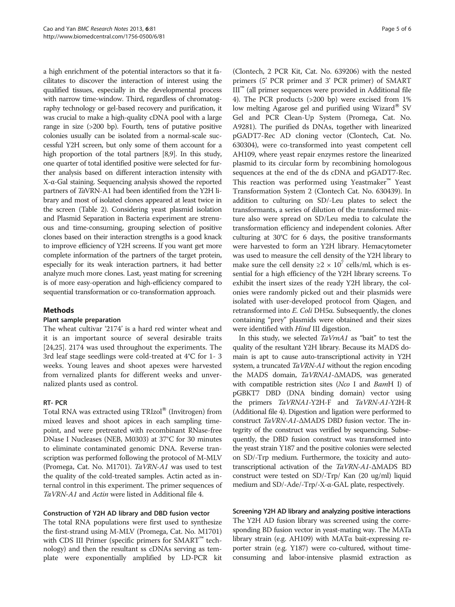a high enrichment of the potential interactors so that it facilitates to discover the interaction of interest using the qualified tissues, especially in the developmental process with narrow time-window. Third, regardless of chromatography technology or gel-based recovery and purification, it was crucial to make a high-quality cDNA pool with a large range in size (>200 bp). Fourth, tens of putative positive colonies usually can be isolated from a normal-scale successful Y2H screen, but only some of them account for a high proportion of the total partners [\[8,9\]](#page-5-0). In this study, one quarter of total identified positive were selected for further analysis based on different interaction intensity with X-α-Gal staining. Sequencing analysis showed the reported partners of TaVRN-A1 had been identified from the Y2H library and most of isolated clones appeared at least twice in the screen (Table [2\)](#page-3-0). Considering yeast plasmid isolation and Plasmid Separation in Bacteria experiment are strenuous and time-consuming, grouping selection of positive clones based on their interaction strengths is a good knack to improve efficiency of Y2H screens. If you want get more complete information of the partners of the target protein, especially for its weak interaction partners, it had better analyze much more clones. Last, yeast mating for screening is of more easy-operation and high-efficiency compared to sequential transformation or co-transformation approach.

# Methods

#### Plant sample preparation

The wheat cultivar '2174' is a hard red winter wheat and it is an important source of several desirable traits [[24,25\]](#page-5-0). 2174 was used throughout the experiments. The 3rd leaf stage seedlings were cold-treated at 4°C for 1- 3 weeks. Young leaves and shoot apexes were harvested from vernalized plants for different weeks and unvernalized plants used as control.

#### RT- PCR

Total RNA was extracted using TRIzol® (Invitrogen) from mixed leaves and shoot apices in each sampling timepoint, and were pretreated with recombinant RNase-free DNase I Nucleases (NEB, M0303) at 37°C for 30 minutes to eliminate contaminated genomic DNA. Reverse transcription was performed following the protocol of M-MLV (Promega, Cat. No. M1701). TaVRN-A1 was used to test the quality of the cold-treated samples. Actin acted as internal control in this experiment. The primer sequences of TaVRN-A1 and Actin were listed in Additional file [4](#page-5-0).

# Construction of Y2H AD library and DBD fusion vector

The total RNA populations were first used to synthesize the first-strand using M-MLV (Promega, Cat. No. M1701) with CDS III Primer (specific primers for SMART™ technology) and then the resultant ss cDNAs serving as template were exponentially amplified by LD-PCR kit

(Clontech, 2 PCR Kit, Cat. No. 639206) with the nested primers (5' PCR primer and 3' PCR primer) of SMART  $III<sup>TM</sup>$  (all primer sequences were provided in Additional file [4\)](#page-5-0). The PCR products (>200 bp) were excised from 1% low melting Agarose gel and purified using Wizard® SV Gel and PCR Clean-Up System (Promega, Cat. No. A9281). The purified ds DNAs, together with linearized pGADT7-Rec AD cloning vector (Clontech, Cat. No. 630304), were co-transformed into yeast competent cell AH109, where yeast repair enzymes restore the linearized plasmid to its circular form by recombining homologous sequences at the end of the ds cDNA and pGADT7-Rec. This reaction was performed using Yeastmaker™ Yeast Transformation System 2 (Clontech Cat. No. 630439). In addition to culturing on SD/-Leu plates to select the transformants, a series of dilution of the transformed mixture also were spread on SD/Leu media to calculate the transformation efficiency and independent colonies. After culturing at 30°C for 6 days, the positive transformants were harvested to form an Y2H library. Hemacytometer was used to measure the cell density of the Y2H library to make sure the cell density  $\geq 2 \times 10^7$  cells/ml, which is essential for a high efficiency of the Y2H library screens. To exhibit the insert sizes of the ready Y2H library, the colonies were randomly picked out and their plasmids were isolated with user-developed protocol from Qiagen, and retransformed into E. Coli DH5α. Subsequently, the clones containing "prey" plasmids were obtained and their sizes were identified with *Hind* III digestion.

In this study, we selected TaVrnA1 as "bait" to test the quality of the resultant Y2H library. Because its MADS domain is apt to cause auto-transcriptional activity in Y2H system, a truncated TaVRN-A1 without the region encoding the MADS domain, TaVRNA1-ΔMADS, was generated with compatible restriction sites (Nco I and BamH I) of pGBKT7 DBD (DNA binding domain) vector using the primers TaVRNA1-Y2H-F and TaVRN-A1-Y2H-R (Additional file [4](#page-5-0)). Digestion and ligation were performed to construct TaVRN-A1-ΔMADS DBD fusion vector. The integrity of the construct was verified by sequencing. Subsequently, the DBD fusion construct was transformed into the yeast strain Y187 and the positive colonies were selected on SD/-Trp medium. Furthermore, the toxicity and autotranscriptional activation of the TaVRN-A1-ΔMADS BD construct were tested on SD/-Trp/ Kan (20 ug/ml) liquid medium and SD/-Ade/-Trp/-X-α-GAL plate, respectively.

# Screening Y2H AD library and analyzing positive interactions

The Y2H AD fusion library was screened using the corresponding BD fusion vector in yeast-mating way. The MATa library strain (e.g. AH109) with MATα bait-expressing reporter strain (e.g. Y187) were co-cultured, without timeconsuming and labor-intensive plasmid extraction as